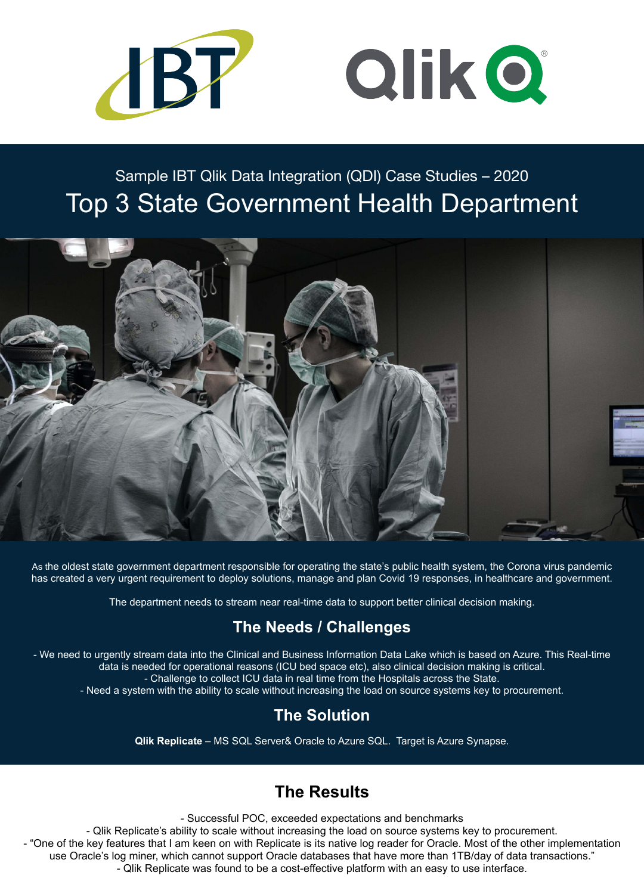As the oldest state government department responsible for operating the state's public health system, the Corona virus pandemic has created a very urgent requirement to deploy solutions, manage and plan Covid 19 responses, in healthcare and government.

The department needs to stream near real-time data to support better clinical decision making.

### **The Needs / Challenges**

- We need to urgently stream data into the Clinical and Business Information Data Lake which is based on Azure. This Real-time data is needed for operational reasons (ICU bed space etc), also clinical decision making is critical. - Challenge to collect ICU data in real time from the Hospitals across the State. - Need a system with the ability to scale without increasing the load on source systems key to procurement.

### **The Solution**

**[Qlik Replicate](https://www.ibt.com.au/attunity/attunity-replicate/)** – MS SQL Server& Oracle to Azure SQL. Target is Azure Synapse.



# Sample IBT Qlik Data Integration (QDI) Case Studies – 2020 Top 3 State Government Health Department



## **The Results**

- Successful POC, exceeded expectations and benchmarks

- Qlik Replicate's ability to scale without increasing the load on source systems key to procurement.

- "One of the key features that I am keen on with Replicate is its native log reader for Oracle. Most of the other implementation use Oracle's log miner, which cannot support Oracle databases that have more than 1TB/day of data transactions."

- Qlik Replicate was found to be a cost-effective platform with an easy to use interface.